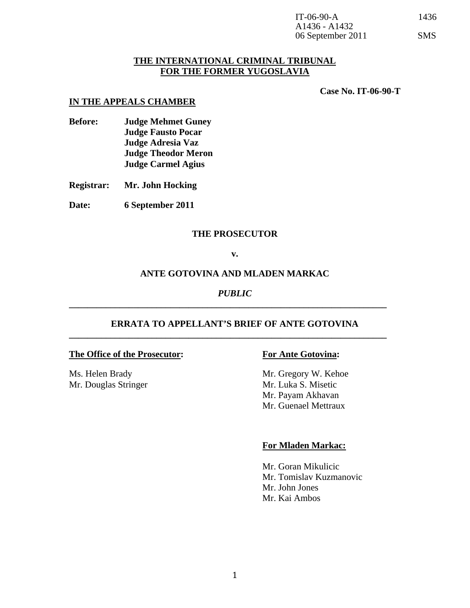## **THE INTERNATIONAL CRIMINAL TRIBUNAL FOR THE FORMER YUGOSLAVIA**

**Case No. IT-06-90-T** 

### **IN THE APPEALS CHAMBER**

**Before: Judge Mehmet Guney Judge Fausto Pocar Judge Adresia Vaz Judge Theodor Meron Judge Carmel Agius** 

**Registrar: Mr. John Hocking** 

**Date: 6 September 2011** 

## **THE PROSECUTOR**

### **v.**

### **ANTE GOTOVINA AND MLADEN MARKAC**

## *PUBLIC*

**\_\_\_\_\_\_\_\_\_\_\_\_\_\_\_\_\_\_\_\_\_\_\_\_\_\_\_\_\_\_\_\_\_\_\_\_\_\_\_\_\_\_\_\_\_\_\_\_\_\_\_\_\_\_\_\_\_\_\_\_\_\_\_\_\_\_\_\_\_** 

**\_\_\_\_\_\_\_\_\_\_\_\_\_\_\_\_\_\_\_\_\_\_\_\_\_\_\_\_\_\_\_\_\_\_\_\_\_\_\_\_\_\_\_\_\_\_\_\_\_\_\_\_\_\_\_\_\_\_\_\_\_\_\_\_\_\_\_\_\_** 

## **ERRATA TO APPELLANT'S BRIEF OF ANTE GOTOVINA**

### **The Office of the Prosecutor: For Ante Gotovina:**

Mr. Douglas Stringer Mr. Luka S. Misetic

Ms. Helen Brady Mr. Gregory W. Kehoe Mr. Payam Akhavan Mr. Guenael Mettraux

### **For Mladen Markac:**

Mr. Goran Mikulicic Mr. Tomislav Kuzmanovic Mr. John Jones Mr. Kai Ambos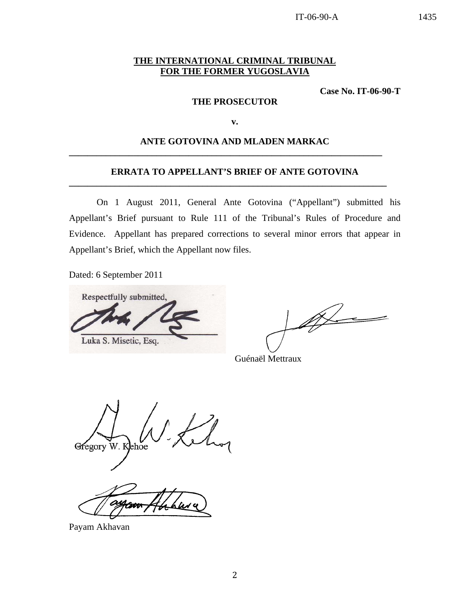IT-06-90-A 1435

## **THE INTERNATIONAL CRIMINAL TRIBUNAL FOR THE FORMER YUGOSLAVIA**

**Case No. IT-06-90-T** 

### **THE PROSECUTOR**

**v.** 

## **ANTE GOTOVINA AND MLADEN MARKAC**

**\_\_\_\_\_\_\_\_\_\_\_\_\_\_\_\_\_\_\_\_\_\_\_\_\_\_\_\_\_\_\_\_\_\_\_\_\_\_\_\_\_\_\_\_\_\_\_\_\_\_\_\_\_\_\_\_\_\_\_\_\_\_\_\_\_\_\_\_** 

### **ERRATA TO APPELLANT'S BRIEF OF ANTE GOTOVINA**

**\_\_\_\_\_\_\_\_\_\_\_\_\_\_\_\_\_\_\_\_\_\_\_\_\_\_\_\_\_\_\_\_\_\_\_\_\_\_\_\_\_\_\_\_\_\_\_\_\_\_\_\_\_\_\_\_\_\_\_\_\_\_\_\_\_\_\_\_\_** 

 On 1 August 2011, General Ante Gotovina ("Appellant") submitted his Appellant's Brief pursuant to Rule 111 of the Tribunal's Rules of Procedure and Evidence. Appellant has prepared corrections to several minor errors that appear in Appellant's Brief, which the Appellant now files.

Dated: 6 September 2011

Respectfully submitted, Luka S. Misetic, Esq.

for

Guénaël Mettraux

Gregory W. Kehoe

Payam Akhavan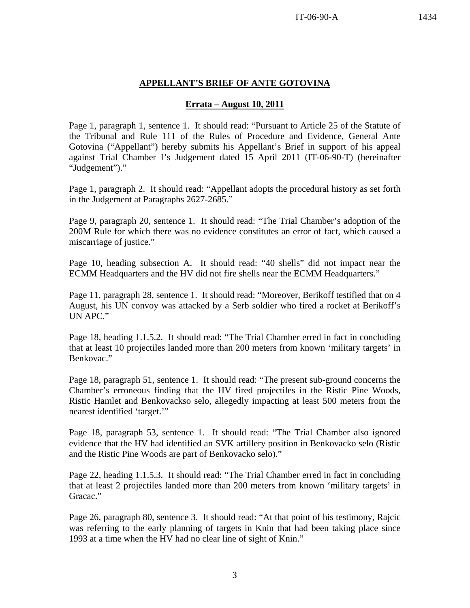# **APPELLANT'S BRIEF OF ANTE GOTOVINA**

## **Errata – August 10, 2011**

Page 1, paragraph 1, sentence 1. It should read: "Pursuant to Article 25 of the Statute of the Tribunal and Rule 111 of the Rules of Procedure and Evidence, General Ante Gotovina ("Appellant") hereby submits his Appellant's Brief in support of his appeal against Trial Chamber I's Judgement dated 15 April 2011 (IT-06-90-T) (hereinafter "Judgement")."

Page 1, paragraph 2. It should read: "Appellant adopts the procedural history as set forth in the Judgement at Paragraphs 2627-2685."

Page 9, paragraph 20, sentence 1. It should read: "The Trial Chamber's adoption of the 200M Rule for which there was no evidence constitutes an error of fact, which caused a miscarriage of justice."

Page 10, heading subsection A. It should read: "40 shells" did not impact near the ECMM Headquarters and the HV did not fire shells near the ECMM Headquarters."

Page 11, paragraph 28, sentence 1. It should read: "Moreover, Berikoff testified that on 4 August, his UN convoy was attacked by a Serb soldier who fired a rocket at Berikoff's UN APC."

Page 18, heading 1.1.5.2. It should read: "The Trial Chamber erred in fact in concluding that at least 10 projectiles landed more than 200 meters from known 'military targets' in Benkovac."

Page 18, paragraph 51, sentence 1. It should read: "The present sub-ground concerns the Chamber's erroneous finding that the HV fired projectiles in the Ristic Pine Woods, Ristic Hamlet and Benkovackso selo, allegedly impacting at least 500 meters from the nearest identified 'target.'"

Page 18, paragraph 53, sentence 1. It should read: "The Trial Chamber also ignored evidence that the HV had identified an SVK artillery position in Benkovacko selo (Ristic and the Ristic Pine Woods are part of Benkovacko selo)."

Page 22, heading 1.1.5.3. It should read: "The Trial Chamber erred in fact in concluding that at least 2 projectiles landed more than 200 meters from known 'military targets' in Gracac."

Page 26, paragraph 80, sentence 3. It should read: "At that point of his testimony, Rajcic was referring to the early planning of targets in Knin that had been taking place since 1993 at a time when the HV had no clear line of sight of Knin."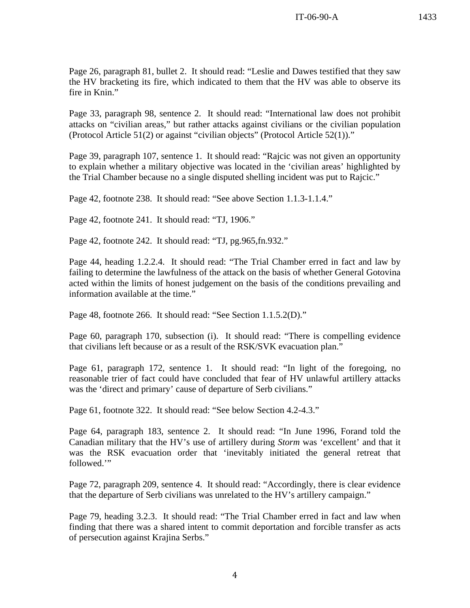Page 33, paragraph 98, sentence 2. It should read: "International law does not prohibit attacks on "civilian areas," but rather attacks against civilians or the civilian population (Protocol Article 51(2) or against "civilian objects" (Protocol Article 52(1))."

Page 39, paragraph 107, sentence 1. It should read: "Rajcic was not given an opportunity to explain whether a military objective was located in the 'civilian areas' highlighted by the Trial Chamber because no a single disputed shelling incident was put to Rajcic."

Page 42, footnote 238. It should read: "See above Section 1.1.3-1.1.4."

Page 42, footnote 241. It should read: "TJ, 1906."

Page 42, footnote 242. It should read: "TJ, pg.965,fn.932."

Page 44, heading 1.2.2.4. It should read: "The Trial Chamber erred in fact and law by failing to determine the lawfulness of the attack on the basis of whether General Gotovina acted within the limits of honest judgement on the basis of the conditions prevailing and information available at the time."

Page 48, footnote 266. It should read: "See Section 1.1.5.2(D)."

Page 60, paragraph 170, subsection (i). It should read: "There is compelling evidence that civilians left because or as a result of the RSK/SVK evacuation plan."

Page 61, paragraph 172, sentence 1. It should read: "In light of the foregoing, no reasonable trier of fact could have concluded that fear of HV unlawful artillery attacks was the 'direct and primary' cause of departure of Serb civilians."

Page 61, footnote 322. It should read: "See below Section 4.2-4.3."

Page 64, paragraph 183, sentence 2. It should read: "In June 1996, Forand told the Canadian military that the HV's use of artillery during *Storm* was 'excellent' and that it was the RSK evacuation order that 'inevitably initiated the general retreat that followed.'"

Page 72, paragraph 209, sentence 4. It should read: "Accordingly, there is clear evidence that the departure of Serb civilians was unrelated to the HV's artillery campaign."

Page 79, heading 3.2.3. It should read: "The Trial Chamber erred in fact and law when finding that there was a shared intent to commit deportation and forcible transfer as acts of persecution against Krajina Serbs."